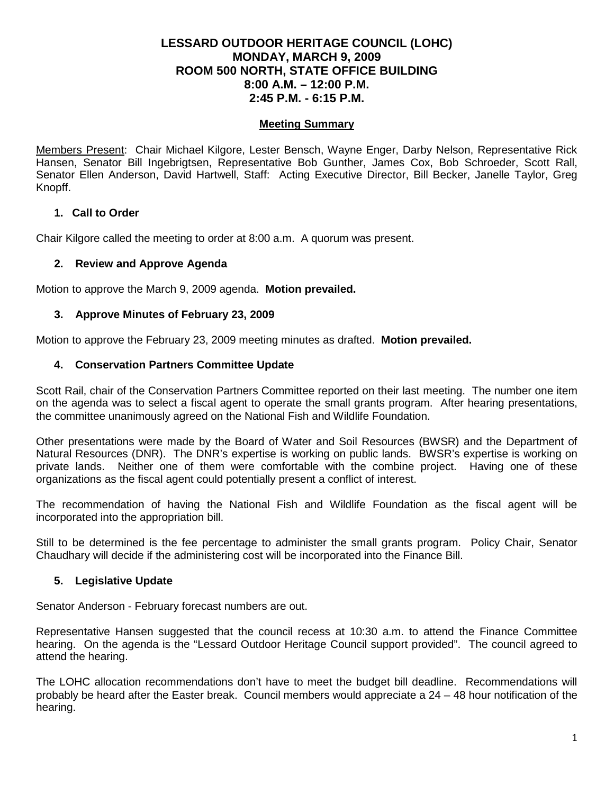# **LESSARD OUTDOOR HERITAGE COUNCIL (LOHC) MONDAY, MARCH 9, 2009 ROOM 500 NORTH, STATE OFFICE BUILDING 8:00 A.M. – 12:00 P.M. 2:45 P.M. - 6:15 P.M.**

### **Meeting Summary**

Members Present: Chair Michael Kilgore, Lester Bensch, Wayne Enger, Darby Nelson, Representative Rick Hansen, Senator Bill Ingebrigtsen, Representative Bob Gunther, James Cox, Bob Schroeder, Scott Rall, Senator Ellen Anderson, David Hartwell, Staff: Acting Executive Director, Bill Becker, Janelle Taylor, Greg Knopff.

# **1. Call to Order**

Chair Kilgore called the meeting to order at 8:00 a.m. A quorum was present.

#### **2. Review and Approve Agenda**

Motion to approve the March 9, 2009 agenda. **Motion prevailed.**

#### **3. Approve Minutes of February 23, 2009**

Motion to approve the February 23, 2009 meeting minutes as drafted. **Motion prevailed.**

#### **4. Conservation Partners Committee Update**

Scott Rail, chair of the Conservation Partners Committee reported on their last meeting. The number one item on the agenda was to select a fiscal agent to operate the small grants program. After hearing presentations, the committee unanimously agreed on the National Fish and Wildlife Foundation.

Other presentations were made by the Board of Water and Soil Resources (BWSR) and the Department of Natural Resources (DNR). The DNR's expertise is working on public lands. BWSR's expertise is working on private lands. Neither one of them were comfortable with the combine project. Having one of these organizations as the fiscal agent could potentially present a conflict of interest.

The recommendation of having the National Fish and Wildlife Foundation as the fiscal agent will be incorporated into the appropriation bill.

Still to be determined is the fee percentage to administer the small grants program. Policy Chair, Senator Chaudhary will decide if the administering cost will be incorporated into the Finance Bill.

# **5. Legislative Update**

Senator Anderson - February forecast numbers are out.

Representative Hansen suggested that the council recess at 10:30 a.m. to attend the Finance Committee hearing. On the agenda is the "Lessard Outdoor Heritage Council support provided". The council agreed to attend the hearing.

The LOHC allocation recommendations don't have to meet the budget bill deadline. Recommendations will probably be heard after the Easter break. Council members would appreciate a 24 – 48 hour notification of the hearing.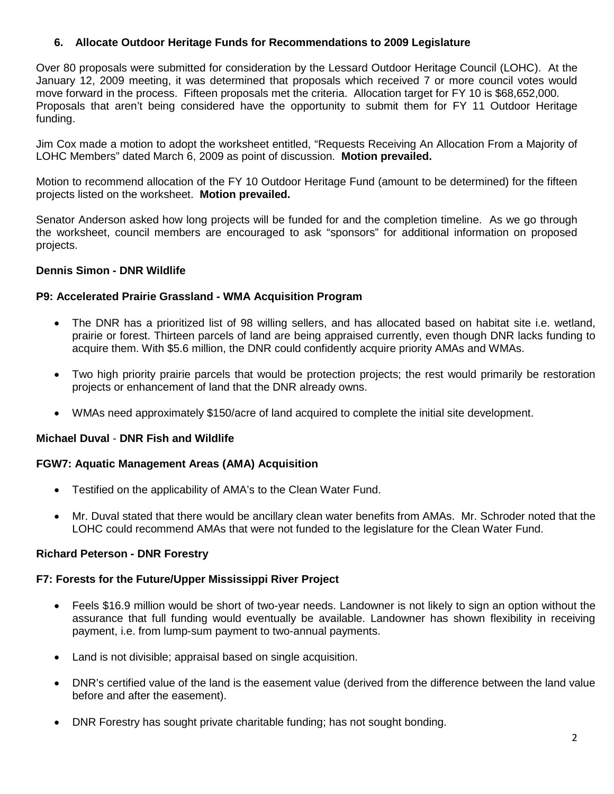# **6. Allocate Outdoor Heritage Funds for Recommendations to 2009 Legislature**

Over 80 proposals were submitted for consideration by the Lessard Outdoor Heritage Council (LOHC). At the January 12, 2009 meeting, it was determined that proposals which received 7 or more council votes would move forward in the process. Fifteen proposals met the criteria. Allocation target for FY 10 is \$68,652,000. Proposals that aren't being considered have the opportunity to submit them for FY 11 Outdoor Heritage funding.

Jim Cox made a motion to adopt the worksheet entitled, "Requests Receiving An Allocation From a Majority of LOHC Members" dated March 6, 2009 as point of discussion. **Motion prevailed.**

Motion to recommend allocation of the FY 10 Outdoor Heritage Fund (amount to be determined) for the fifteen projects listed on the worksheet. **Motion prevailed.**

Senator Anderson asked how long projects will be funded for and the completion timeline. As we go through the worksheet, council members are encouraged to ask "sponsors" for additional information on proposed projects.

# **Dennis Simon - DNR Wildlife**

#### **P9: Accelerated Prairie Grassland - WMA Acquisition Program**

- The DNR has a prioritized list of 98 willing sellers, and has allocated based on habitat site i.e. wetland, prairie or forest. Thirteen parcels of land are being appraised currently, even though DNR lacks funding to acquire them. With \$5.6 million, the DNR could confidently acquire priority AMAs and WMAs.
- Two high priority prairie parcels that would be protection projects; the rest would primarily be restoration projects or enhancement of land that the DNR already owns.
- WMAs need approximately \$150/acre of land acquired to complete the initial site development.

# **Michael Duval** - **DNR Fish and Wildlife**

#### **FGW7: Aquatic Management Areas (AMA) Acquisition**

- Testified on the applicability of AMA's to the Clean Water Fund.
- Mr. Duval stated that there would be ancillary clean water benefits from AMAs. Mr. Schroder noted that the LOHC could recommend AMAs that were not funded to the legislature for the Clean Water Fund.

# **Richard Peterson - DNR Forestry**

#### **F7: Forests for the Future/Upper Mississippi River Project**

- Feels \$16.9 million would be short of two-year needs. Landowner is not likely to sign an option without the assurance that full funding would eventually be available. Landowner has shown flexibility in receiving payment, i.e. from lump-sum payment to two-annual payments.
- Land is not divisible; appraisal based on single acquisition.
- DNR's certified value of the land is the easement value (derived from the difference between the land value before and after the easement).
- DNR Forestry has sought private charitable funding; has not sought bonding.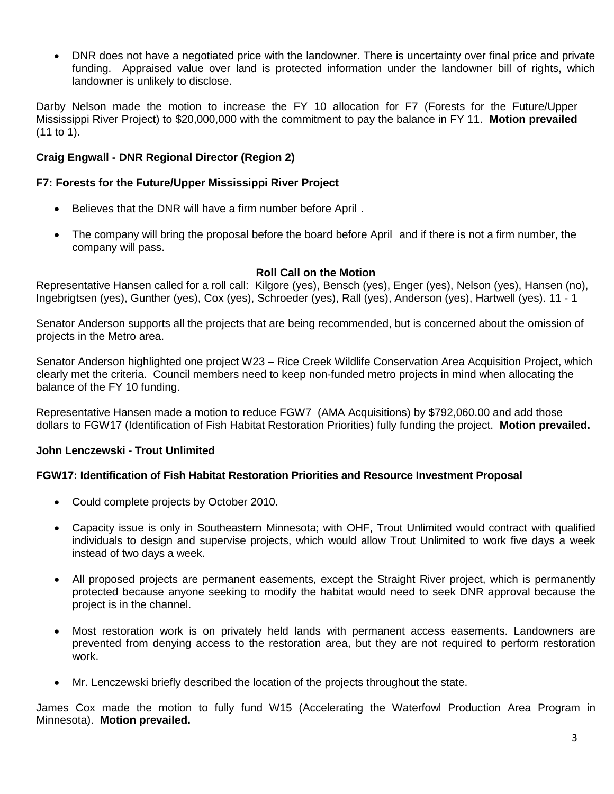• DNR does not have a negotiated price with the landowner. There is uncertainty over final price and private funding. Appraised value over land is protected information under the landowner bill of rights, which landowner is unlikely to disclose.

Darby Nelson made the motion to increase the FY 10 allocation for F7 (Forests for the Future/Upper Mississippi River Project) to \$20,000,000 with the commitment to pay the balance in FY 11. **Motion prevailed**  (11 to 1).

# **Craig Engwall - DNR Regional Director (Region 2)**

# **F7: Forests for the Future/Upper Mississippi River Project**

- Believes that the DNR will have a firm number before April .
- The company will bring the proposal before the board before April and if there is not a firm number, the company will pass.

#### **Roll Call on the Motion**

Representative Hansen called for a roll call: Kilgore (yes), Bensch (yes), Enger (yes), Nelson (yes), Hansen (no), Ingebrigtsen (yes), Gunther (yes), Cox (yes), Schroeder (yes), Rall (yes), Anderson (yes), Hartwell (yes). 11 - 1

Senator Anderson supports all the projects that are being recommended, but is concerned about the omission of projects in the Metro area.

Senator Anderson highlighted one project W23 – Rice Creek Wildlife Conservation Area Acquisition Project, which clearly met the criteria. Council members need to keep non-funded metro projects in mind when allocating the balance of the FY 10 funding.

Representative Hansen made a motion to reduce FGW7 (AMA Acquisitions) by \$792,060.00 and add those dollars to FGW17 (Identification of Fish Habitat Restoration Priorities) fully funding the project. **Motion prevailed.**

# **John Lenczewski - Trout Unlimited**

# **FGW17: Identification of Fish Habitat Restoration Priorities and Resource Investment Proposal**

- Could complete projects by October 2010.
- Capacity issue is only in Southeastern Minnesota; with OHF, Trout Unlimited would contract with qualified individuals to design and supervise projects, which would allow Trout Unlimited to work five days a week instead of two days a week.
- All proposed projects are permanent easements, except the Straight River project, which is permanently protected because anyone seeking to modify the habitat would need to seek DNR approval because the project is in the channel.
- Most restoration work is on privately held lands with permanent access easements. Landowners are prevented from denying access to the restoration area, but they are not required to perform restoration work.
- Mr. Lenczewski briefly described the location of the projects throughout the state.

James Cox made the motion to fully fund W15 (Accelerating the Waterfowl Production Area Program in Minnesota). **Motion prevailed.**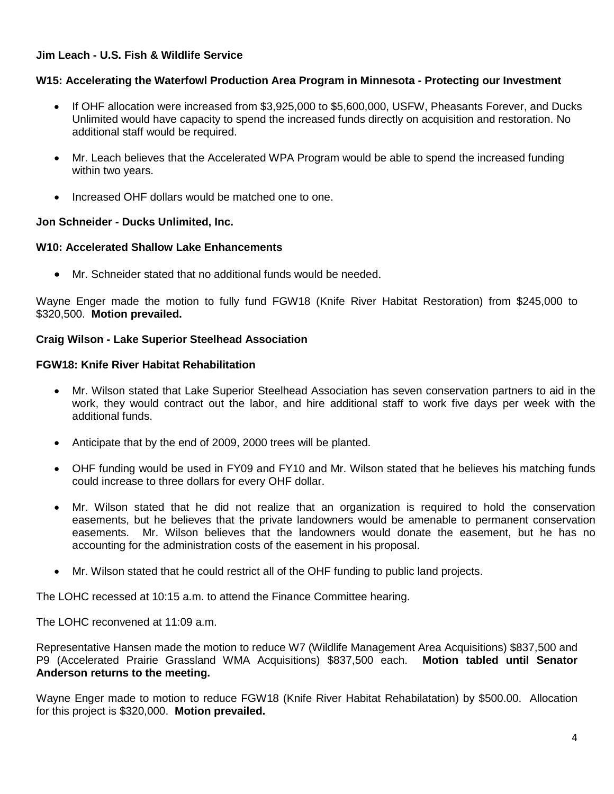# **Jim Leach - U.S. Fish & Wildlife Service**

# **W15: Accelerating the Waterfowl Production Area Program in Minnesota - Protecting our Investment**

- If OHF allocation were increased from \$3,925,000 to \$5,600,000, USFW, Pheasants Forever, and Ducks Unlimited would have capacity to spend the increased funds directly on acquisition and restoration. No additional staff would be required.
- Mr. Leach believes that the Accelerated WPA Program would be able to spend the increased funding within two years.
- Increased OHF dollars would be matched one to one.

#### **Jon Schneider - Ducks Unlimited, Inc.**

#### **W10: Accelerated Shallow Lake Enhancements**

• Mr. Schneider stated that no additional funds would be needed.

Wayne Enger made the motion to fully fund FGW18 (Knife River Habitat Restoration) from \$245,000 to \$320,500. **Motion prevailed.**

#### **Craig Wilson - Lake Superior Steelhead Association**

# **FGW18: Knife River Habitat Rehabilitation**

- Mr. Wilson stated that Lake Superior Steelhead Association has seven conservation partners to aid in the work, they would contract out the labor, and hire additional staff to work five days per week with the additional funds.
- Anticipate that by the end of 2009, 2000 trees will be planted.
- OHF funding would be used in FY09 and FY10 and Mr. Wilson stated that he believes his matching funds could increase to three dollars for every OHF dollar.
- Mr. Wilson stated that he did not realize that an organization is required to hold the conservation easements, but he believes that the private landowners would be amenable to permanent conservation easements. Mr. Wilson believes that the landowners would donate the easement, but he has no accounting for the administration costs of the easement in his proposal.
- Mr. Wilson stated that he could restrict all of the OHF funding to public land projects.

The LOHC recessed at 10:15 a.m. to attend the Finance Committee hearing.

The LOHC reconvened at 11:09 a.m.

Representative Hansen made the motion to reduce W7 (Wildlife Management Area Acquisitions) \$837,500 and P9 (Accelerated Prairie Grassland WMA Acquisitions) \$837,500 each. **Motion tabled until Senator Anderson returns to the meeting.** 

Wayne Enger made to motion to reduce FGW18 (Knife River Habitat Rehabilatation) by \$500.00. Allocation for this project is \$320,000. **Motion prevailed.**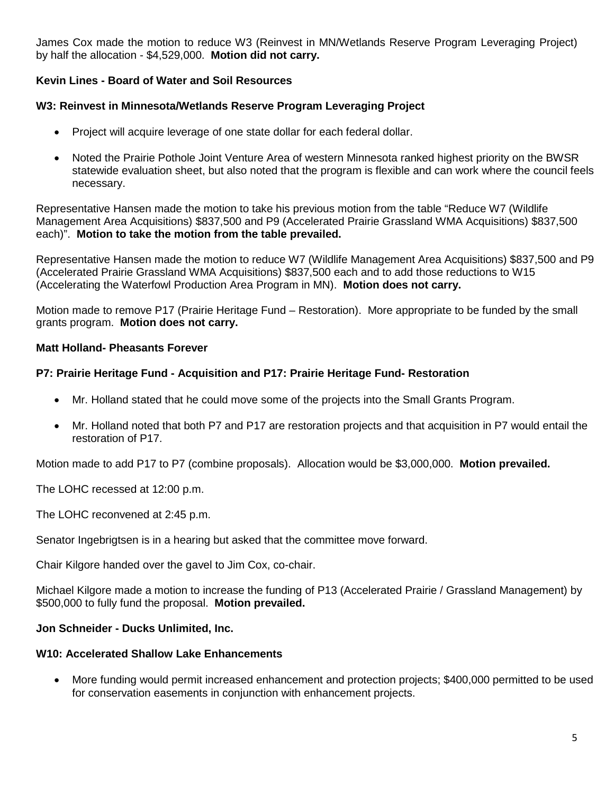James Cox made the motion to reduce W3 (Reinvest in MN/Wetlands Reserve Program Leveraging Project) by half the allocation - \$4,529,000. **Motion did not carry.**

# **Kevin Lines - Board of Water and Soil Resources**

# **W3: Reinvest in Minnesota/Wetlands Reserve Program Leveraging Project**

- Project will acquire leverage of one state dollar for each federal dollar.
- Noted the Prairie Pothole Joint Venture Area of western Minnesota ranked highest priority on the BWSR statewide evaluation sheet, but also noted that the program is flexible and can work where the council feels necessary.

Representative Hansen made the motion to take his previous motion from the table "Reduce W7 (Wildlife Management Area Acquisitions) \$837,500 and P9 (Accelerated Prairie Grassland WMA Acquisitions) \$837,500 each)". **Motion to take the motion from the table prevailed.**

Representative Hansen made the motion to reduce W7 (Wildlife Management Area Acquisitions) \$837,500 and P9 (Accelerated Prairie Grassland WMA Acquisitions) \$837,500 each and to add those reductions to W15 (Accelerating the Waterfowl Production Area Program in MN). **Motion does not carry.**

Motion made to remove P17 (Prairie Heritage Fund – Restoration). More appropriate to be funded by the small grants program. **Motion does not carry.**

# **Matt Holland- Pheasants Forever**

# **P7: Prairie Heritage Fund - Acquisition and P17: Prairie Heritage Fund- Restoration**

- Mr. Holland stated that he could move some of the projects into the Small Grants Program.
- Mr. Holland noted that both P7 and P17 are restoration projects and that acquisition in P7 would entail the restoration of P17.

Motion made to add P17 to P7 (combine proposals). Allocation would be \$3,000,000. **Motion prevailed.**

The LOHC recessed at 12:00 p.m.

The LOHC reconvened at 2:45 p.m.

Senator Ingebrigtsen is in a hearing but asked that the committee move forward.

Chair Kilgore handed over the gavel to Jim Cox, co-chair.

Michael Kilgore made a motion to increase the funding of P13 (Accelerated Prairie / Grassland Management) by \$500,000 to fully fund the proposal. **Motion prevailed.**

# **Jon Schneider - Ducks Unlimited, Inc.**

# **W10: Accelerated Shallow Lake Enhancements**

• More funding would permit increased enhancement and protection projects; \$400,000 permitted to be used for conservation easements in conjunction with enhancement projects.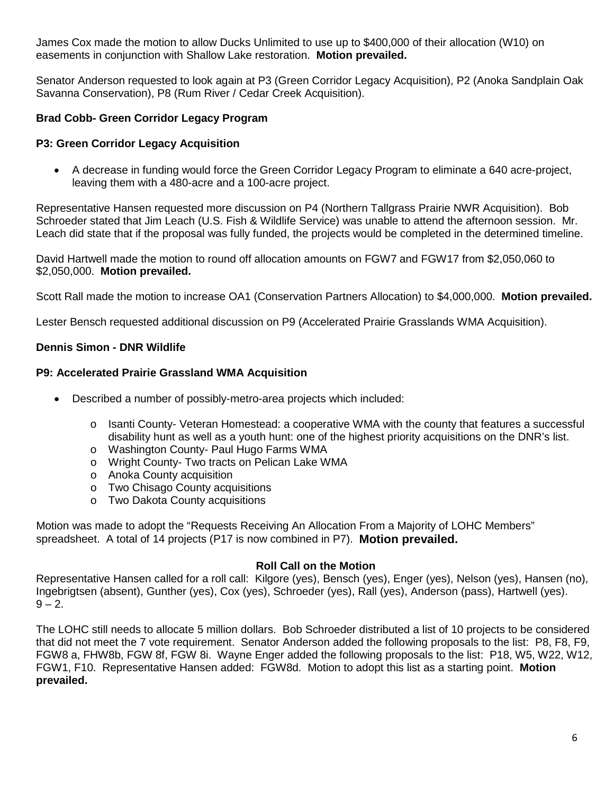James Cox made the motion to allow Ducks Unlimited to use up to \$400,000 of their allocation (W10) on easements in conjunction with Shallow Lake restoration. **Motion prevailed.**

Senator Anderson requested to look again at P3 (Green Corridor Legacy Acquisition), P2 (Anoka Sandplain Oak Savanna Conservation), P8 (Rum River / Cedar Creek Acquisition).

# **Brad Cobb- Green Corridor Legacy Program**

# **P3: Green Corridor Legacy Acquisition**

• A decrease in funding would force the Green Corridor Legacy Program to eliminate a 640 acre-project, leaving them with a 480-acre and a 100-acre project.

Representative Hansen requested more discussion on P4 (Northern Tallgrass Prairie NWR Acquisition). Bob Schroeder stated that Jim Leach (U.S. Fish & Wildlife Service) was unable to attend the afternoon session. Mr. Leach did state that if the proposal was fully funded, the projects would be completed in the determined timeline.

David Hartwell made the motion to round off allocation amounts on FGW7 and FGW17 from \$2,050,060 to \$2,050,000. **Motion prevailed.** 

Scott Rall made the motion to increase OA1 (Conservation Partners Allocation) to \$4,000,000. **Motion prevailed.**

Lester Bensch requested additional discussion on P9 (Accelerated Prairie Grasslands WMA Acquisition).

#### **Dennis Simon - DNR Wildlife**

#### **P9: Accelerated Prairie Grassland WMA Acquisition**

- Described a number of possibly-metro-area projects which included:
	- o Isanti County- Veteran Homestead: a cooperative WMA with the county that features a successful disability hunt as well as a youth hunt: one of the highest priority acquisitions on the DNR's list.
	- o Washington County- Paul Hugo Farms WMA
	- o Wright County- Two tracts on Pelican Lake WMA
	- o Anoka County acquisition
	- o Two Chisago County acquisitions
	- o Two Dakota County acquisitions

Motion was made to adopt the "Requests Receiving An Allocation From a Majority of LOHC Members" spreadsheet. A total of 14 projects (P17 is now combined in P7). **Motion prevailed.**

#### **Roll Call on the Motion**

Representative Hansen called for a roll call: Kilgore (yes), Bensch (yes), Enger (yes), Nelson (yes), Hansen (no), Ingebrigtsen (absent), Gunther (yes), Cox (yes), Schroeder (yes), Rall (yes), Anderson (pass), Hartwell (yes).  $9 - 2.$ 

The LOHC still needs to allocate 5 million dollars. Bob Schroeder distributed a list of 10 projects to be considered that did not meet the 7 vote requirement. Senator Anderson added the following proposals to the list: P8, F8, F9, FGW8 a, FHW8b, FGW 8f, FGW 8i. Wayne Enger added the following proposals to the list: P18, W5, W22, W12, FGW1, F10. Representative Hansen added: FGW8d. Motion to adopt this list as a starting point. **Motion prevailed.**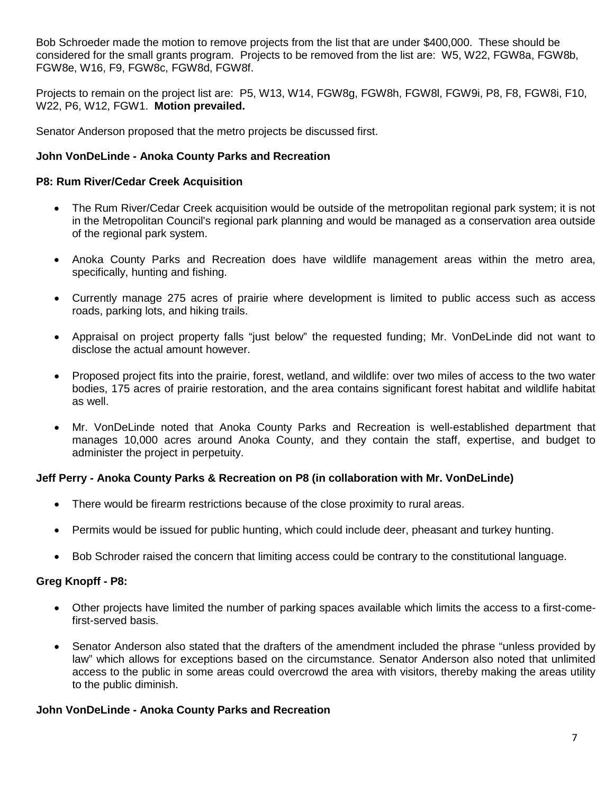Bob Schroeder made the motion to remove projects from the list that are under \$400,000. These should be considered for the small grants program. Projects to be removed from the list are: W5, W22, FGW8a, FGW8b, FGW8e, W16, F9, FGW8c, FGW8d, FGW8f.

Projects to remain on the project list are: P5, W13, W14, FGW8g, FGW8h, FGW8l, FGW9i, P8, F8, FGW8i, F10, W22, P6, W12, FGW1. **Motion prevailed.**

Senator Anderson proposed that the metro projects be discussed first.

# **John VonDeLinde - Anoka County Parks and Recreation**

# **P8: Rum River/Cedar Creek Acquisition**

- The Rum River/Cedar Creek acquisition would be outside of the metropolitan regional park system; it is not in the Metropolitan Council's regional park planning and would be managed as a conservation area outside of the regional park system.
- Anoka County Parks and Recreation does have wildlife management areas within the metro area, specifically, hunting and fishing.
- Currently manage 275 acres of prairie where development is limited to public access such as access roads, parking lots, and hiking trails.
- Appraisal on project property falls "just below" the requested funding; Mr. VonDeLinde did not want to disclose the actual amount however.
- Proposed project fits into the prairie, forest, wetland, and wildlife: over two miles of access to the two water bodies, 175 acres of prairie restoration, and the area contains significant forest habitat and wildlife habitat as well.
- Mr. VonDeLinde noted that Anoka County Parks and Recreation is well-established department that manages 10,000 acres around Anoka County, and they contain the staff, expertise, and budget to administer the project in perpetuity.

# **Jeff Perry - Anoka County Parks & Recreation on P8 (in collaboration with Mr. VonDeLinde)**

- There would be firearm restrictions because of the close proximity to rural areas.
- Permits would be issued for public hunting, which could include deer, pheasant and turkey hunting.
- Bob Schroder raised the concern that limiting access could be contrary to the constitutional language.

# **Greg Knopff - P8:**

- Other projects have limited the number of parking spaces available which limits the access to a first-comefirst-served basis.
- Senator Anderson also stated that the drafters of the amendment included the phrase "unless provided by law" which allows for exceptions based on the circumstance. Senator Anderson also noted that unlimited access to the public in some areas could overcrowd the area with visitors, thereby making the areas utility to the public diminish.

# **John VonDeLinde - Anoka County Parks and Recreation**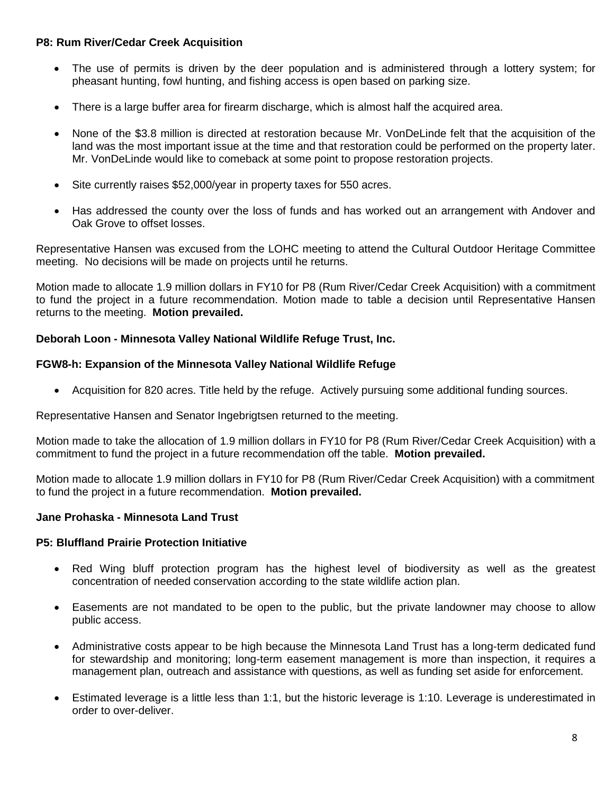# **P8: Rum River/Cedar Creek Acquisition**

- The use of permits is driven by the deer population and is administered through a lottery system; for pheasant hunting, fowl hunting, and fishing access is open based on parking size.
- There is a large buffer area for firearm discharge, which is almost half the acquired area.
- None of the \$3.8 million is directed at restoration because Mr. VonDeLinde felt that the acquisition of the land was the most important issue at the time and that restoration could be performed on the property later. Mr. VonDeLinde would like to comeback at some point to propose restoration projects.
- Site currently raises \$52,000/year in property taxes for 550 acres.
- Has addressed the county over the loss of funds and has worked out an arrangement with Andover and Oak Grove to offset losses.

Representative Hansen was excused from the LOHC meeting to attend the Cultural Outdoor Heritage Committee meeting. No decisions will be made on projects until he returns.

Motion made to allocate 1.9 million dollars in FY10 for P8 (Rum River/Cedar Creek Acquisition) with a commitment to fund the project in a future recommendation. Motion made to table a decision until Representative Hansen returns to the meeting. **Motion prevailed.**

# **Deborah Loon - Minnesota Valley National Wildlife Refuge Trust, Inc.**

# **FGW8-h: Expansion of the Minnesota Valley National Wildlife Refuge**

• Acquisition for 820 acres. Title held by the refuge. Actively pursuing some additional funding sources.

Representative Hansen and Senator Ingebrigtsen returned to the meeting.

Motion made to take the allocation of 1.9 million dollars in FY10 for P8 (Rum River/Cedar Creek Acquisition) with a commitment to fund the project in a future recommendation off the table. **Motion prevailed.**

Motion made to allocate 1.9 million dollars in FY10 for P8 (Rum River/Cedar Creek Acquisition) with a commitment to fund the project in a future recommendation. **Motion prevailed.**

# **Jane Prohaska - Minnesota Land Trust**

# **P5: Bluffland Prairie Protection Initiative**

- Red Wing bluff protection program has the highest level of biodiversity as well as the greatest concentration of needed conservation according to the state wildlife action plan.
- Easements are not mandated to be open to the public, but the private landowner may choose to allow public access.
- Administrative costs appear to be high because the Minnesota Land Trust has a long-term dedicated fund for stewardship and monitoring; long-term easement management is more than inspection, it requires a management plan, outreach and assistance with questions, as well as funding set aside for enforcement.
- Estimated leverage is a little less than 1:1, but the historic leverage is 1:10. Leverage is underestimated in order to over-deliver.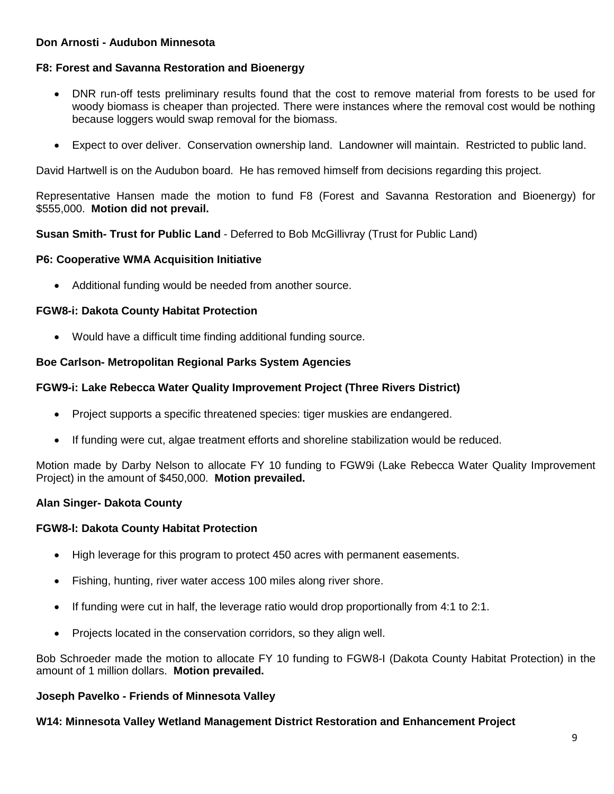# **Don Arnosti - Audubon Minnesota**

# **F8: Forest and Savanna Restoration and Bioenergy**

- DNR run-off tests preliminary results found that the cost to remove material from forests to be used for woody biomass is cheaper than projected. There were instances where the removal cost would be nothing because loggers would swap removal for the biomass.
- Expect to over deliver. Conservation ownership land. Landowner will maintain. Restricted to public land.

David Hartwell is on the Audubon board. He has removed himself from decisions regarding this project.

Representative Hansen made the motion to fund F8 (Forest and Savanna Restoration and Bioenergy) for \$555,000. **Motion did not prevail.**

# **Susan Smith- Trust for Public Land** - Deferred to Bob McGillivray (Trust for Public Land)

# **P6: Cooperative WMA Acquisition Initiative**

• Additional funding would be needed from another source.

# **FGW8-i: Dakota County Habitat Protection**

• Would have a difficult time finding additional funding source.

# **Boe Carlson- Metropolitan Regional Parks System Agencies**

# **FGW9-i: Lake Rebecca Water Quality Improvement Project (Three Rivers District)**

- Project supports a specific threatened species: tiger muskies are endangered.
- If funding were cut, algae treatment efforts and shoreline stabilization would be reduced.

Motion made by Darby Nelson to allocate FY 10 funding to FGW9i (Lake Rebecca Water Quality Improvement Project) in the amount of \$450,000. **Motion prevailed.**

# **Alan Singer- Dakota County**

# **FGW8-l: Dakota County Habitat Protection**

- High leverage for this program to protect 450 acres with permanent easements.
- Fishing, hunting, river water access 100 miles along river shore.
- If funding were cut in half, the leverage ratio would drop proportionally from 4:1 to 2:1.
- Projects located in the conservation corridors, so they align well.

Bob Schroeder made the motion to allocate FY 10 funding to FGW8-I (Dakota County Habitat Protection) in the amount of 1 million dollars. **Motion prevailed.**

# **Joseph Pavelko - Friends of Minnesota Valley**

# **W14: Minnesota Valley Wetland Management District Restoration and Enhancement Project**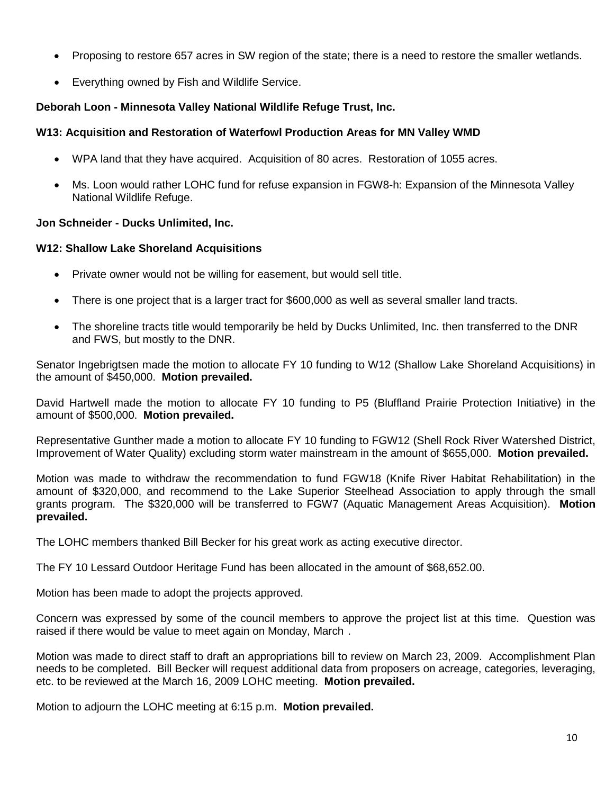- Proposing to restore 657 acres in SW region of the state; there is a need to restore the smaller wetlands.
- Everything owned by Fish and Wildlife Service.

# **Deborah Loon - Minnesota Valley National Wildlife Refuge Trust, Inc.**

# **W13: Acquisition and Restoration of Waterfowl Production Areas for MN Valley WMD**

- WPA land that they have acquired. Acquisition of 80 acres. Restoration of 1055 acres.
- Ms. Loon would rather LOHC fund for refuse expansion in FGW8-h: Expansion of the Minnesota Valley National Wildlife Refuge.

# **Jon Schneider - Ducks Unlimited, Inc.**

#### **W12: Shallow Lake Shoreland Acquisitions**

- Private owner would not be willing for easement, but would sell title.
- There is one project that is a larger tract for \$600,000 as well as several smaller land tracts.
- The shoreline tracts title would temporarily be held by Ducks Unlimited, Inc. then transferred to the DNR and FWS, but mostly to the DNR.

Senator Ingebrigtsen made the motion to allocate FY 10 funding to W12 (Shallow Lake Shoreland Acquisitions) in the amount of \$450,000. **Motion prevailed.**

David Hartwell made the motion to allocate FY 10 funding to P5 (Bluffland Prairie Protection Initiative) in the amount of \$500,000. **Motion prevailed.**

Representative Gunther made a motion to allocate FY 10 funding to FGW12 (Shell Rock River Watershed District, Improvement of Water Quality) excluding storm water mainstream in the amount of \$655,000. **Motion prevailed.**

Motion was made to withdraw the recommendation to fund FGW18 (Knife River Habitat Rehabilitation) in the amount of \$320,000, and recommend to the Lake Superior Steelhead Association to apply through the small grants program. The \$320,000 will be transferred to FGW7 (Aquatic Management Areas Acquisition). **Motion prevailed.**

The LOHC members thanked Bill Becker for his great work as acting executive director.

The FY 10 Lessard Outdoor Heritage Fund has been allocated in the amount of \$68,652.00.

Motion has been made to adopt the projects approved.

Concern was expressed by some of the council members to approve the project list at this time. Question was raised if there would be value to meet again on Monday, March .

Motion was made to direct staff to draft an appropriations bill to review on March 23, 2009. Accomplishment Plan needs to be completed. Bill Becker will request additional data from proposers on acreage, categories, leveraging, etc. to be reviewed at the March 16, 2009 LOHC meeting. **Motion prevailed.**

Motion to adjourn the LOHC meeting at 6:15 p.m. **Motion prevailed.**